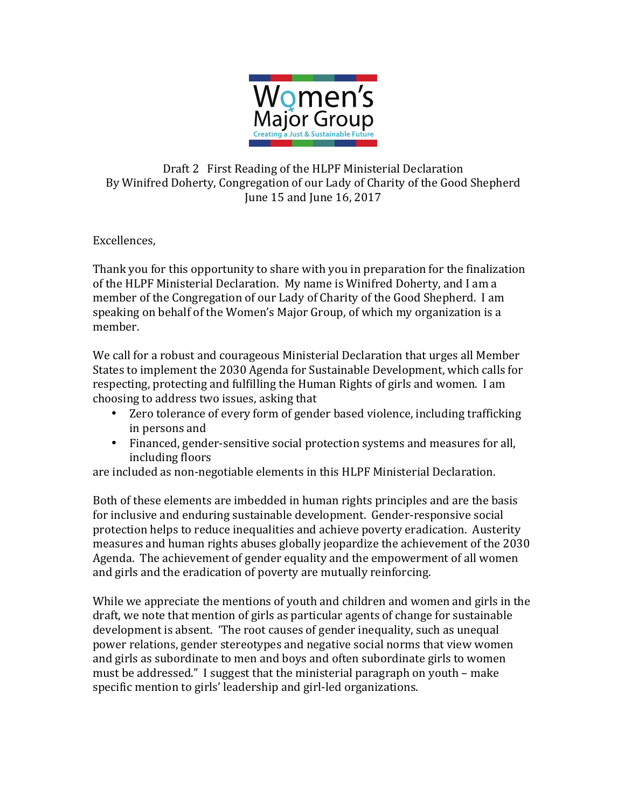

## Draft 2 First Reading of the HLPF Ministerial Declaration By Winifred Doherty, Congregation of our Lady of Charity of the Good Shepherd June 15 and June 16, 2017

## Excellences,

Thank you for this opportunity to share with you in preparation for the finalization of the HLPF Ministerial Declaration. My name is Winifred Doherty, and I am a member of the Congregation of our Lady of Charity of the Good Shepherd. I am speaking on behalf of the Women's Major Group, of which my organization is a member. 

We call for a robust and courageous Ministerial Declaration that urges all Member States to implement the 2030 Agenda for Sustainable Development, which calls for respecting, protecting and fulfilling the Human Rights of girls and women. I am choosing to address two issues, asking that

- Zero tolerance of every form of gender based violence, including trafficking in persons and
- Financed, gender-sensitive social protection systems and measures for all, including floors

are included as non-negotiable elements in this HLPF Ministerial Declaration.

Both of these elements are imbedded in human rights principles and are the basis for inclusive and enduring sustainable development. Gender-responsive social protection helps to reduce inequalities and achieve poverty eradication. Austerity measures and human rights abuses globally jeopardize the achievement of the 2030 Agenda. The achievement of gender equality and the empowerment of all women and girls and the eradication of poverty are mutually reinforcing.

While we appreciate the mentions of youth and children and women and girls in the draft, we note that mention of girls as particular agents of change for sustainable development is absent. 'The root causes of gender inequality, such as unequal power relations, gender stereotypes and negative social norms that view women and girls as subordinate to men and boys and often subordinate girls to women must be addressed." I suggest that the ministerial paragraph on youth – make specific mention to girls' leadership and girl-led organizations.